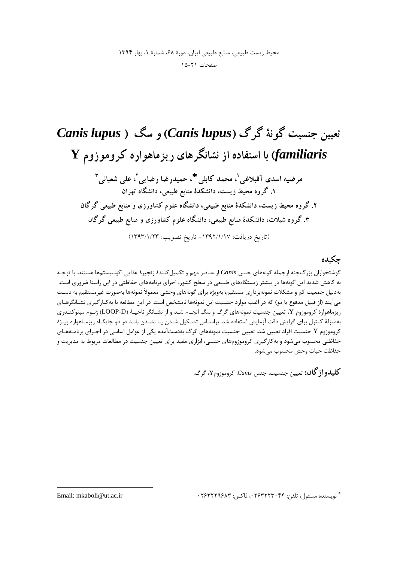صفحات ٢١-١٥

تعیین جنسیت گونهٔ گرگ (Canis lupus) و سگ ( Canis lupus با استفاده از نشانگرهای ریزماهواره کروموزوم Y مرضيه اسدي آقبلاغي'، محمد كابلي'\*، حميدرضا رضايي'، على شعباني " ۱. گروه محیط زیست، دانشکدهٔ منابع طبیعی، دانشگاه تهران ۲. گروه محیط زیست، دانشکدهٔ منابع طبیعی، دانشگاه علوم کشاورزی و منابع طبیعی گرگان ۳. گروه شیلات، دانشکدهٔ منابع طبیعی، دانشگاه علوم کشاورزی و منابع طبیعی گرگان (تاريخ دريافت: ١٣٩٢/١/١٧- تاريخ تصويب: ١٣٩٣/١/٢٣)

## حكىدە

گوشتخواران بزرگجثه ازجمله گونههای جنس Canis از عناصر مهم و تکمیلکنندهٔ زنجیرهٔ غذایی اکوسیستمها هستند. با توجـه به کاهش شدید این گونهها در بیشتر زیستگاههای طبیعی در سطح کشور، اجرای برنامههای حفاظتی در این راستا ضروری است. بهدلیل جمعیت کم و مشکلات نمونهبرداری مستقیم، بهویژه برای گونههای وحشی معمولاً نمونهها بهصورت غیرمستقیم به دست میآیند (از قبیل مدفوع یا مو) که در اغلب موارد جنسیت این نمونهها نامشخص است. در این مطالعه با بهکـارگیری نشـانگرهـای ریزماهوارهٔ کروموزوم Y، تعیین جنسیت نمونههای گرگ و سگ انجـام شـد و از نشـانگر ناحیـهٔ (LOOP-D) ژنـوم میتوکنـدری بهمنزلهٔ کنترل برای افزایش دقت آزمایش استفاده شد. براسـاس تشـکیل شـدن یـا نشـدن بانـد در دو جایگـاه ریزمـاهواره ویـژهٔ کروموزوم Y جنسیت افراد تعیین شد. تعیین جنسیت نمونههای گرگ بهدستآمده یکی از عوامل اساسی در اجـرای برنامـههـای حفاظتی محسوب میشود و به کار گیری کروموزومهای جنسی، ابزاری مفید برای تعیین جنسیت در مطالعات مربوط به مدیریت و حفاظت حيات وحش محسوب مي شود.

كليدواژگان: تعيين جنسيت، جنس Canis، كروموزومY، گرگ.

\* نويسنده مسئول، تلفن: ۰۲۶۳۲۲۳۰۴۴، فاكس: ۲۶۳۲۲۹۶۸۳

Email: mkaboli@ut.ac.ir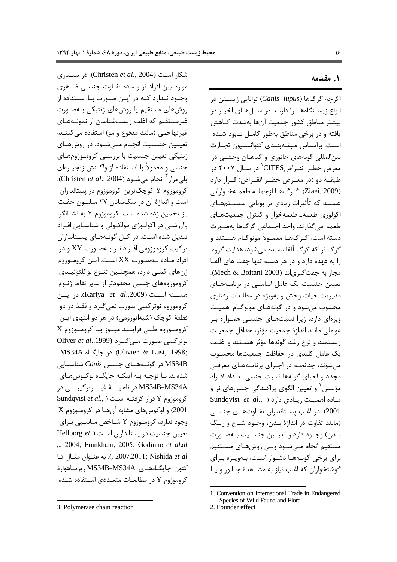١. مقدمه

شكار است (Christen et al., 2004). در بسيارى موارد بین افراد نر و ماده تفـاوت جنســی ظـاهری وجـود نـدارد كـه در ايـن صـورت بـا اسـتفاده از روشهای مستقیم یا روشهای ژنتیکی بـهصـورت غیرمستقیم که اغلب زیستشناسان از نمونـههـای غيرتهاجمي (مانند مدفوع و مو) استفاده مي كننـد، تعیــین جنســیت انجــام مــے شــود. در روش هــای ژنتیکی تعیین جنسیت با بررسـی کرومـوزومهـای جنسی و معمولاً با اسـتفاده از واکـنش زنجيـرهای پلي مراز <sup>۳</sup> انجام مي شـود (Christen *et al.*, 2004). کروموزوم Y کوچکترین کروموزوم در پستانداران است و اندازهٔ آن در سگسانان ۲۷ میلیـون جفـت باز تخمین زده شده است. کروموزوم Y به نشــانگر باارزشی در اکولوژی مولکولی و شناسایی افراد تبدیل شده است. در کـل گونـههـای پسـتانداران  $XY$ تر کیب کروموزومی افـراد نـر بـهصـورت XY و در افراد ماده بهصورت XX است. این کروموزوم ژنهای کمبی دارد، همچنـین تنـوع نوکلئوتیـدی كروموزومهاى جنسى محدودتر از ساير نقاط ژنـوم هسته است (Kariya et al.,2009). در ایسن کروموزوم نوترکیبی صورت نمی گیرد و فقط در دو قطعهٔ کوچک (شبهاتوزومی) در هر دو انتهای ایـن  $X$  كرومـوزوم طـى فراينــد ميــوز بــا كرومــوزوم نوتر کیبی صورت مے گیرد (Oliver et al.,1999 -MS34A دو جايگــاه. Olivier & Lust, 1998; در گونــههــای جــنس Canis شناســایی MS34B شدهاند. بـا توجــه بــه اینکــه جایگــاه لوکــوس۵هــای MS34B-MS34A در ناحيــــهٔ غيــــرتركيبــــي در Sundqvist et al., ) كروموزوم Y قرار گرفتـه اسـت 2001) و لوكوس هاى مشابه آن هـا در كرومـوزوم X وجود ندارد، کرومـوزوم Y شـاخص مناسـبي بـراي تعیین جنسیت در پستانداران است ( Hellborg et ", 2004; Frankham, 2005; Godinho et al.al c 2007.2011; Nishida et al.). به عنوان مثال تا كنون جايگـاەھـاي MS34B-MS34A , يزمـاهوارة كروموزوم Y در مطالعـات متعـددي اسـتفاده شـده

اگرچه گرگ&ا (Canis lupus) توانایی زیســتن در انواع زیستگاههـا را دارنـد در سـالهـای اخیـر در بيشتر مناطق كشور جمعيت آنها بهشدت كـاهش یافته و در برخی مناطق بهطور کامل نـابود شـده است. براسـاس طبقــهبنــدی کنوانســیون تجــارت بين|لمللي گونههاي جانوري و گياهــان وحشــي در معرض خطـر انقـراضCITES' در ســال ۲۰۰۷ در طبقــهٔ دو (در معــرض خطــر انقــراض) قــرار دارد (Ziaei, 2009). گرگها ازجمله طعمـهخـواراني هستند که تأثیرات زیادی بر یوپایی سیسـتمهـای اکولوژی طعمه ـ طعمهخوار و کنترل جمعیتهای طعمه می گذارند. واحد اجتماعی گرگ&ا بهصورت دسته است، گے گھـا معمـولاً مونوگـام هسـتند و گرگ نر که گرگ آلفا نامیده می شود، هدایت گروه را به عهده دارد و در هر دسته تنها جفت های آلفا مجاز به جفت گیری|ند (Mech & Boitani 2003). تعیین جنسیت یک عامل اساسی در برنامههای مديريت حيات وحش و بهويژه در مطالعات رفتاري محسوب میشود و در گونههـای مونوگـام اهمیـت ویژهای دارد، زیرا نسبتهای جنسبی همـواره بـر عواملي مانند اندازة جمعيت مؤثر، حداقل جمعيت زیستمند و نرخ رشد گونهها مؤثر هستند و اغلب یک عامل کلیدی در حفاظت جمعیتها محسوب میشوند، چنانچـه در اجـرای برنامـههـای معرفـی مجدد و احیای گونهها نسبت جنسی تعـداد افـراد مؤسس ٔ و تعیین الگوی پراکندگی جنسهای نر و Sundqvist et al., ) دارد (Sundqvist et al., ) 2001). در اغلب پستانداران تفـاوتهـای جنسـی (مانند تفاوت در اندازهٔ بـدن، وجـود شـاخ و رنـگ بـدن) وجـود دارد و تعيـين جنسـيت بـهصـورت مستقيم انجام مےشود ولے روشهـاى مسـتقيم برای برخی گونـههـا دشـوار اسـت، بـهویـژه بـرای گوشتخواران كه اغلب نياز به مشـاهدهٔ جـانور و يـا

<sup>3.</sup> Polymerase chain reaction

<sup>1.</sup> Convention on International Trade in Endangered Species of Wild Fauna and Flora

<sup>2.</sup> Founder effect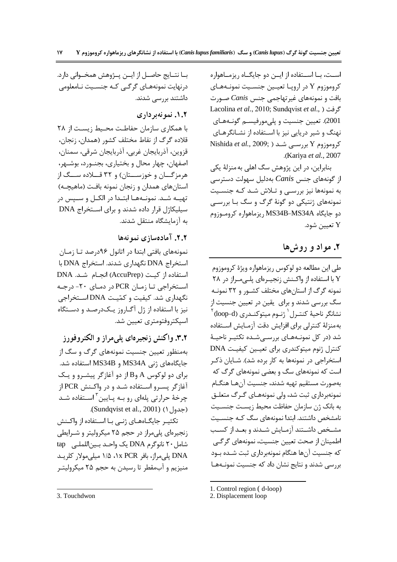اسـت، بــا اســتفاده از ايــن دو جايگــاه ريزمــاهواره كروموزوم Y در اروپـا تعيـين جنسـيت نمونـههـاي بافت و نمونههای غیر تهاجمی جنس Canis صـورت Lacolina et al., 2010; Sundqvist et al., ) كرفت 2001). تعیین جنسیت و پلي مورفیســم گونــههــای نهنگ و شیر دریایی نیز با استفاده از نشانگرهای Nishida et al., 2009; شد ( Nishida et al., 2009; ) .(Kariva et al., 2007)

بنابراین، در این پژوهش سگ اهلی به منزلهٔ یکی از گونههای جنس Canis بهدلیل سهولت دسترسی به نمونهها نیز بررسـی و تـلاش شـد کـه جنسـیت نمونههای ژنتیکی دو گونهٔ گرگ و سگ بـا بررسـی دو جايگاه MS34B-MS34A ريزماهواره كروموزوم  $\mathbf Y$ تعيين شود.

### ۲. مواد و روش ها

طی این مطالعه دو لوکوس ریزماهواره ویژهٔ کروموزوم Y با استفاده از واکنش زنجیـرهای پلـیمـراز در ۲۸ .<br>نمونه گرگ از استانهای مختلف کشـور و ۳۲ نمونـه سگ بررسی شدند و برای یقین در تعیین جنسیت از نشانگر ناحیهٔ کنتـرل <sup>۱</sup> ژنـوم میتوکنـد<sub>ر</sub>ی (loop-d) <sup>۲</sup> به منزلهٔ کنترلی برای افزایش دقت آزمـایش اسـتفاده شد (در کل نمونــههــای بررســیشــده تکثیــر ناحیــهٔ کنترل ژنوم میتوکندری برای تعیین کیفیت DNA استخراجی در نمونهها به کار برده شد). شـایان ذکـر است که نمونههای سگ و بعضی نمونههای گرگ که بهصورت مستقيم تهيه شدند، جنسيت آنهـا هنگـام نمونهبرداری ثبت شد، ولی نمونههـای گـرگ متعلـق به بانک ژن سازمان حفاظت محیط زیست جنسـیت نامشخص داشتند. ابتدا نمونههای سگ کـه جنسـیت مشخص داشـتند آزمـايش شـدند و بعـد از كسـب اطمینان از صحت تعیین جنسیت، نمونههای گرگے که جنسیت آنها هنگام نمونهبرداری ثبت شـده بـود بررسی شدند و نتایج نشان داد که جنسیت نمونـههـا

1. Control region (d-loop)

2. Displacement loop

بــا نتــايج حاصــل از ايـــن پـــژوهش همخـــواني دارد. درنهایت نمونههـای گرگـی کـه جنسـیت نـامعلومی داشتند بررسی شدند.

#### ۰.۲. نمو نه بر داری

با همکاری سازمان حفاطت محیط زیست از ۲۸ قلاده گرگ از نقاط مختلف کشور (همدان، زنجان، قزوين، آذربايجان غربي، آذربايجان شرقي، سمنان، اصفهان، چهار محال و بختیاری، بجنـورد، بوشـهر، هرمزگـــان و خوزســـتان) و ۳۲ قــــلاده ســـگ از استانهای همدان و زنجان نمونه بافت (ماهیچـه) تهيــه شــد. نمونــههــا ابتــدا در الكــل و ســپس در سیلیکاژل قرار داده شدند و برای استخراج DNA به آزمایشگاه منتقل شدند.

### ٢.٢. آمادهسازي نمو نهها

نمونههای بافتی ابتدا در اتانول ۹۶درصد تـا زمـان استخراج DNA نگهداری شدند. استخراج DNA با استفاده از کیت (AccuPrep) انجـام شـد. DNA استخراجي تـا زمـان PCR در دمـاي ٢٠- درجـه نگهداری شد. کیفیت و کمّیت DNA استخراجی نیز با استفاده از ژل آگــاروز یــکدرصــد و دســتگاه اسیکتروفتومتری تعیین شد.

۳.۲. واکنش زنجیرهای پلیمراز و الکتروفورز بهمنظور تعیین جنسیت نمونههای گرگ و سگ از جایگاههای ژنی MS34A و MS34B استفاده شد. برای دو لوکوس A وB از دو آغازگر پیشـرو و یـک آغازگر پسـرو اسـتفاده شـد و در واكـنش PCR از چرخهٔ حرارتی پلهای رو بـه پـایین <sup>۳</sup> اســتفاده شــد (جدول ۱) (Sundqvist et al., 2001).

تکثیـر جایگـاههـای ژنـی بـا اسـتفاده از واکـنش زنجیرهای پلی مراز در حجم ۲۵ میکرولیتر و شـرایطی شامل ٢٠ نانوگرم DNA یک واحـد بـین|للملـی tap DNA پل<sub>ی</sub>مراز، بافر ۱x PCR، ۱/۵ میلی مولار کلریـد منیزیم و آبمقطر تا رسیدن به حجم ۲۵ میکرولیتـر

<sup>3.</sup> Touchdwon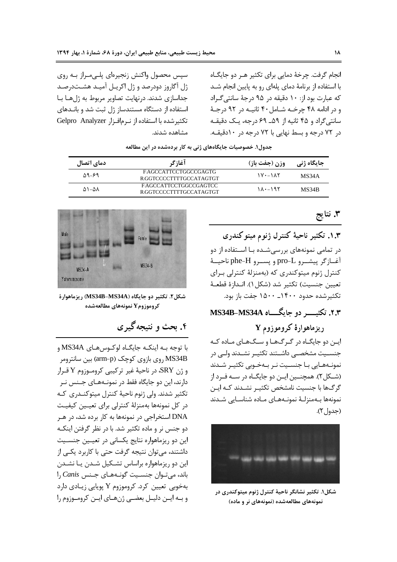انجام گرفت. چرخهٔ دمایی برای تکثیر هـر دو جایگــاه با استفاده از برنامهٔ دمای یلهای رو به پایین انجام شـد که عبارت بود از: ١٠ دقيقه در ٩۵ درجهٔ سانتي گـراد و در ادامه ۴۸ چرخـه شـامل ۴۰ ثانیـه در ۹۲ درجـهٔ سانتی گراد و ۴۵ ثانیه از ۵۹\_ ۶۹ درجه، یک دقیقـه در ۷۲ درجه و بسط نهایی با ۷۲ درجه در ۱۰دقیقـه.

سپس محصول واکنش زنجیرهای پلـیمـراز بـه روی ژل آگاروز دودرصد و ژل اکریـل آمیـد هشـتدرصـد جداسازی شدند. درنهایت تصاویر مربوط به ژلها با استفاده از دستگاه مستندساز ژل ثبت شد و بانـدهای تكثير شده با استفاده از نرمافزار Gelpro Analyzer مشاهده شدند.

| دمای اتصال              | آغازگر                                           | وزن (جفت باز) | جایگاه ژنی |
|-------------------------|--------------------------------------------------|---------------|------------|
| 59-89                   | FAGCCATTCCTGGCCGAGTG<br>R.GGTCCCCTTTTGCCATAGTGT  | $\frac{1}{2}$ | MS34A      |
| $\Delta$ \ - $\Delta$ \ | FAGCCATTCCTGGCCGAGTCC<br>R.GGTCCCCTTTTGCCATAGTGT | ۱۸۰-۱۹۲       | MS34B      |

جدول۱. خصوصیات جایگاههای ژنی به کار بردهشده در این مطالعه

۳. نتايج

۱.۳. تکثیر ناحیهٔ کنترل ژنوم میتوکندری در تمامی نمونههای بررسی شـده بـا اسـتفاده از دو آغــازگر پيشــرو pro-L و يســرو phe-H ناحيــهٔ کنترل ژنوم میتوکندری که (بهمنزلهٔ کنترلی بـرای تعيين جنسيت) تكثير شد (شكل ١). انـدازة قطعــهٔ تكثير شده حدود ١٤٠٠\_ ١۵٠٠ جفت باز بود.

# ۲.۳. تکتیب دو جایگ یا MS34B-MS34A

ریزماهوارهٔ کروموزوم Y

این دو جایگـاه در گـرگ&ـا و سـگ&ـای مـاده کـه جنســيت مشخصــى داشــتند تكثيــر نشــدند ولــى در نمونـههـایی بـا جنسـیت نـر بـهخـوبی تکثیـر شـدند (شـكل ٢). همچنـين ايـن دو جايگـاه در سـه فـرد از گرگ&ا با جنسیت نامشخص تکثیـر نشــدند کــه ایــن نمونەها بىەمنزلىۀ نمونىەھىاي مىادە شناسىايى شىدند (جدول ۲).



شکل۱. تکثیر نشانگر ناحیهٔ کنترل ژنوم میتوکندری در نمونههای مطالعهشده (نمونههای نر و ماده)



شكل۲. تكثير دو جايگاه (MS34B–MS34A) ريزماهوارهٔ **كروموزوم Y نمونههاي مطالعهشده** 

# ۴. بحث و نتیجه گیری

با توجه بـه اينكـه جايگـاه لوكـوسهـاي MS34A و MS34B روی بازوی کوچک (arm-p) بین سانترومر و ژن SRY در ناحيهٔ غير تركيبي كروموزوم Y قـرار دارند، این دو جایگاه فقط در نمونـههـای جـنس نـر تکثیر شدند. ولی ژنوم ناحیهٔ کنترل میتوکنـدری کـه در کل نمونهها بهمنزلهٔ کنترلی برای تعیـین کیفیـت DNA استخراجی در نمونهها به کار برده شد، در هـر دو جنس نر و ماده تکثیر شد. با در نظر گرفتن اینکـه این دو ریزماهواره نتایج یکسانی در تعیـین جنسـیت داشتند، میتوان نتیجه گرفت حتی با کاربرد یکـی از این دو ریزماهواره براساس تشـکیل شـدن یـا نشـدن باند، میتوان جنسیت گونههای جنس Canis را بهخوبی تعیین کرد. کروموزوم Y پویایی زیـادی دارد و بـه ايـن دليـل بعضـي ژنهـاي ايـن كرومـوزوم را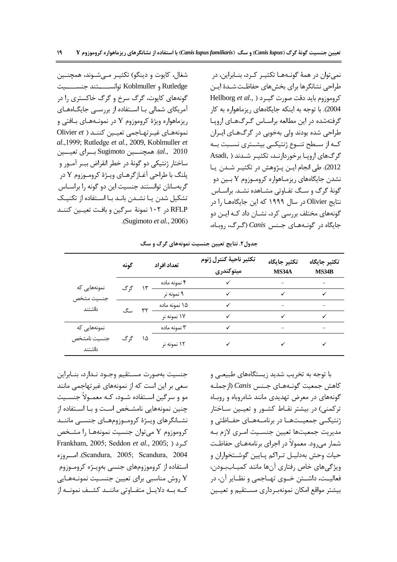شغال، کايوت و دينگو) تکثيـر مـيشـوند، همچنـين Rutledge و Koblmuller توانســـــتند جنســـــيت گونههای کایوت، گرگ سرخ و گرگ خاکستری را در آمریکای شمالی بـا اسـتفاده از بررسـی جایگــاههــای ریزماهواره ویژهٔ کروموزوم Y در نمونـههـای بـافتی و نمونههـای غیـرتهـاجمی تعیـین کننـد ( Olivier et al.,1999; Rutledge et al., 2009, Koblmuller et al., 2010). همچنسین Sugimoto بــرای تعیسین ساختار ژنتیکی دو گونهٔ در خطر انقراض ببـر آمـور و پلنگ با طراحي آغـازگرهـاي ويـژهٔ كرومـوزوم Y در گربهسانان توانستند جنسیت این دو گونه را براسـاس تشکیل شدن یـا نشـدن بانـد بـا اسـتفاده از تکنیـک RFLP در ۱۰۲ نمونهٔ سرگین و بافت تعیین کننـد .(Sugimoto et al., 2006)

نمیتوان در همهٔ گونــههــا تکثیــر کــرد، بنــابراین، در طراحی نشانگرها برای بخشهای حفاظت شـدهٔ ایـن Hellborg et al., ) كروموزوم بايد دقت صورت گيرد 2004). با توجه به اینکه جایگاههای ریزماهواره به کار گرفتهشده در این مطالعه براسـاس گـرگ&ـای اروپـا طراحی شده بودند ولی بهخوبی در گرگ&ـای ایـران کـه از ســطح تنــوع ژنتيکــي بيشــتري نســبت بــه گرگهای اروپا برخوردارنـد، تکثیـر شـدند ( .Asadi 2012). طي انجام ايـن پـژوهش در تكثيـر شـدن يـا نشدن جایگاههای ریزمـاهواره کرومـوزوم Y بـین دو گونهٔ گرگ و سـگ تفـاوتی مشـاهده نشـد. براسـاس نتایج Olivier در سال ۱۹۹۹ که این جایگاههـا را در گونههای مختلف بررسی کرد، نشــان داد کــه ایــن دو جایگاه در گونـههـای جـنس Canis (گـرگ، روبـاه،

|                                      | گونه |    | تعداد افراد   | تكثير ناحية كنترل ژنوم<br>ميتوكندرى | تكثير جايگاه<br>MS34A | تكثير جايگاه<br>MS34B |
|--------------------------------------|------|----|---------------|-------------------------------------|-----------------------|-----------------------|
| نمونەھايى كە<br>جنسيت مشخص<br>داشتند | گ گ  |    | ۴ نمونه ماده  |                                     |                       |                       |
|                                      |      |    | ۹ نمونه نر    |                                     |                       |                       |
|                                      |      |    | ۱۵ نمونه ماده |                                     |                       |                       |
|                                      |      |    | ۱۷ نمونه نر   |                                     | ✓                     |                       |
| نمونەھايى كە                         | گر گ | ۱۵ | ۳ نمونه ماده  |                                     |                       |                       |
| جنسيت نامشخص<br>داشتند               |      |    | ۱۲ نمونه نر   |                                     |                       |                       |

جدول۲. نتایج تعیین جنسیت نمونههای گرگ و سگ

جنسيت بهصورت مستقيم وجـود نـدارد، بنـابراين سعی بر این است که از نمونههای غیرتهاجمی مانند مو و سرگین اســتفاده شــود، کــه معمــولاً جنســیت چنین نمونههایی نامشخص است و بـا اسـتفاده از نشــانگرهای ویــژهٔ کرومــوزومهــای جنســی ماننــد كروموزوم Y مي توان جنسيت نمونههـا را مشـخص Frankham, 2005; Seddon et al., 2005; ) کرد Scandura, 2005; Scandura, 2004). امروزه استفاده از کروموزومهای جنسی بهویـژه کرومـوزوم روش مناسبی برای تعیین جنسـیت نمونـههـایی Y كــه بــه دلايــل متفــاوتى ماننــد كشــف نمونــه از با توجه به تخریب شدید زیستگاههای طبیعـی و كاهش جمعيت گونـههـاي جـنس Canis (ازجملـه گونههای در معرض تهدیدی مانند شاهروباه و روباه ترکمنی) در بیشتر نقـاط کشـور و تعیـین سـاختار ژنتیکــی جمعیــتھــا در برنامــهھــای حفــاظتی و مديريت جمعيتها تعيين جنسـيت امـري لازم بـه شمار می رود. معمولاً در اجرای برنامههـای حفاظـت حيات وحش بهدليـل تـراكم پـايين گوشـتخواران و ویژگی های خاص رفتاری آنها مانند کمیـاببـودن، فعالیــت، داشــتن خــوی تهــاجمی و نظــایر آن، در بيشتر مواقع امكان نمونهبرداري مسـتقيم و تعيـين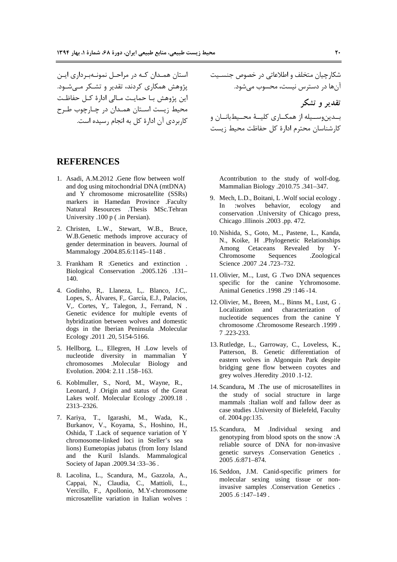استان همـدان کـه در مراحـل نمونـهبـرداری ایـن پژوهش همکاری کردند، تقدیر و تشـکر مـی شـود. این پژوهش بـا حمایـت مـالی ادارهٔ کـل حفاظـت محیط زیست اسـتان همـدان در چـارچوب طـرح كاربردي آن ادارهٔ كل به انجام رسيده است.

شکارچیان متخلف و اطلاعاتی در خصوص جنسـیت آنها در دسترس نیست، محسوب میشود. تقدیر و تشکر بــدینوســیله از همکــاری کلیــهٔ محــیطبانــان و كارشناسان محترم ادارهٔ كل حفاظت محيط زيست

#### **REFERENCES**

- 1. Asadi, A.M.2012 .Gene flow between wolf and dog using mitochondrial DNA (mtDNA) and Y chromosome microsatellite (SSRs) markers in Hamedan Province .Faculty Natural Resources .Thesis MSc.Tehran University .100 p (.in Persian).
- 2. Christen, L.W., Stewart, W.B., Bruce, W.B.Genetic methods improve accuracy of gender determination in beavers. Journal of Mammalogy .2004.85.6:1145-1148.
- 3. Frankham R :Genetics and extinction. Biological Conservation .2005.126 .131-140.
- 4. Godinho, R., Llaneza, L., Blanco, J.C., Lopes, S., Álvares, F., García, E.J., Palacios, V,. Cortes, Y,. Talegon, J., Ferrand, N. Genetic evidence for multiple events of hybridization between wolves and domestic dogs in the Iberian Peninsula .Molecular Ecology .2011 .20, 5154-5166.
- 5. Hellborg, L., Ellegren, H. Low levels of nucleotide diversity in mammalian Y Molecular Biology and chromosomes Evolution. 2004: 2.11 .158-163.
- 6. Koblmuller, S., Nord, M., Wayne, R., Leonard, J .Origin and status of the Great Lakes wolf. Molecular Ecology .2009.18. 2313-2326.
- 7. Kariya, T., Igarashi, M., Wada, K., Burkanov, V., Koyama, S., Hoshino, H., Oshida, T .Lack of sequence variation of Y chromosome-linked loci in Steller's sea lions) Eumetopias jubatus (from Iony Island and the Kuril Islands. Mammalogical Society of Japan .2009.34:33-36.
- 8. Lacolina, L., Scandura, M., Gazzola, A., Cappai, N., Claudia, C., Mattioli, L., Vercillo, F., Apollonio, M.Y-chromosome microsatellite variation in Italian wolves :

Acontribution to the study of wolf-dog. Mammalian Biology .2010.75 .341-347.

- 9. Mech, L.D., Boitani, L. Wolf social ecology. and :wolves behavior, ecology  $In$ conservation . University of Chicago press, Chicago .Illinois .2003 .pp. 472.
- 10. Nishida, S., Goto, M... Pastene, L., Kanda, N., Koike, H .Phylogenetic Relationships Revealed by Y-Among Cetaceans Chromosome Sequences .Zoological Science .2007 .24 .723-732.
- 11. Olivier, M..., Lust, G. Two DNA sequences specific for the canine Ychromosome. Animal Genetics .1998 .29:146 -14.
- 12. Olivier, M., Breen, M.., Binns M., Lust, G. Localization and characterization of nucleotide sequences from the canine Y chromosome .Chromosome Research .1999. 7.223-233.
- 13. Rutledge, L., Garroway, C., Loveless, K., Patterson, B. Genetic differentiation of eastern wolves in Algonquin Park despite bridging gene flow between coyotes and grey wolves . Heredity . 2010 . 1-12.
- 14. Scandura, M . The use of microsatellites in the study of social structure in large mammals : Italian wolf and fallow deer as case studies . University of Bielefeld, Faculty of. 2004.pp:135.
- 15. Scandura. M . Individual sexing and genotyping from blood spots on the snow :A reliable source of DNA for non-invasive genetic surveys .Conservation Genetics . 2005.6:871-874.
- 16. Seddon, J.M. Canid-specific primers for molecular sexing using tissue or noninvasive samples .Conservation Genetics.  $2005.6:147-149.$